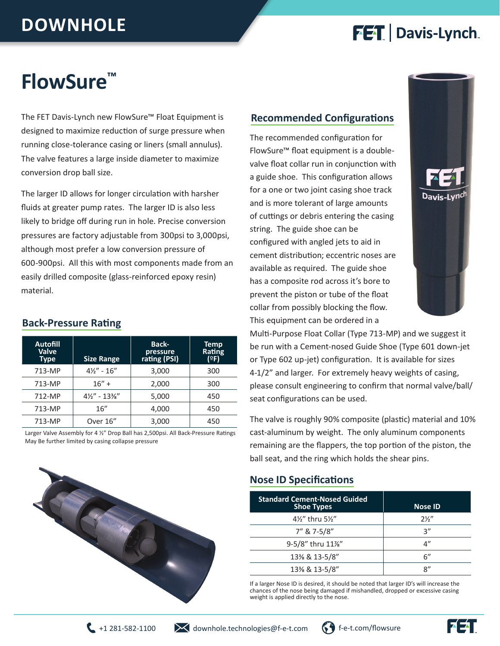## **DOWNHOLE**

## **FET** Davis-Lynch

## **FlowSure™**

The FET Davis-Lynch new FlowSure™ Float Equipment is designed to maximize reduction of surge pressure when running close-tolerance casing or liners (small annulus). The valve features a large inside diameter to maximize conversion drop ball size.

The larger ID allows for longer circulation with harsher fluids at greater pump rates. The larger ID is also less likely to bridge off during run in hole. Precise conversion pressures are factory adjustable from 300psi to 3,000psi, although most prefer a low conversion pressure of 600-900psi. All this with most components made from an easily drilled composite (glass-reinforced epoxy resin) material.

#### **Back-Pressure Rating**

| <b>Autofill</b><br>Valve<br><b>Type</b> | <b>Size Range</b>       | <b>Back-</b><br>pressu <u>re</u><br>rating (PSI) | <b>Temp</b><br>Rating<br>(ºF) |
|-----------------------------------------|-------------------------|--------------------------------------------------|-------------------------------|
| 713-MP                                  | $4\frac{1}{2}$ - 16"    | 3,000                                            | 300                           |
| 713-MP                                  | $16" +$                 | 2,000                                            | 300                           |
| 712-MP                                  | $4\frac{1}{2}$ " - 13%" | 5,000                                            | 450                           |
| 713-MP                                  | 16''                    | 4,000                                            | 450                           |
| 713-MP                                  | Over 16"                | 3,000                                            | 450                           |

Larger Valve Assembly for 4 ½" Drop Ball has 2,500psi. All Back-Pressure Ratings May Be further limited by casing collapse pressure



#### **Recommended Configurations**

The recommended configuration for FlowSure™ float equipment is a doublevalve float collar run in conjunction with a guide shoe. This configuration allows for a one or two joint casing shoe track and is more tolerant of large amounts of cuttings or debris entering the casing string. The guide shoe can be configured with angled jets to aid in cement distribution; eccentric noses are available as required. The guide shoe has a composite rod across it's bore to prevent the piston or tube of the float collar from possibly blocking the flow. This equipment can be ordered in a



Multi-Purpose Float Collar (Type 713-MP) and we suggest it be run with a Cement-nosed Guide Shoe (Type 601 down-jet or Type 602 up-jet) configuration. It is available for sizes 4-1/2" and larger. For extremely heavy weights of casing, please consult engineering to confirm that normal valve/ball/ seat configurations can be used.

The valve is roughly 90% composite (plastic) material and 10% cast-aluminum by weight. The only aluminum components remaining are the flappers, the top portion of the piston, the ball seat, and the ring which holds the shear pins.

#### **Nose ID Specifications**

| <b>Standard Cement-Nosed Guided</b><br><b>Shoe Types</b> | <b>Nose ID</b> |
|----------------------------------------------------------|----------------|
| 4½" thru 5½"                                             | $2\frac{1}{2}$ |
| 7" & 7-5/8"                                              | २"             |
| 9-5/8" thru 11%"                                         | 4"             |
| 13% & 13-5/8"                                            | 6"             |
| 13% & 13-5/8"                                            | 8''            |

If a larger Nose ID is desired, it should be noted that larger ID's will increase the chances of the nose being damaged if mishandled, dropped or excessive casing weight is applied directly to the nose.